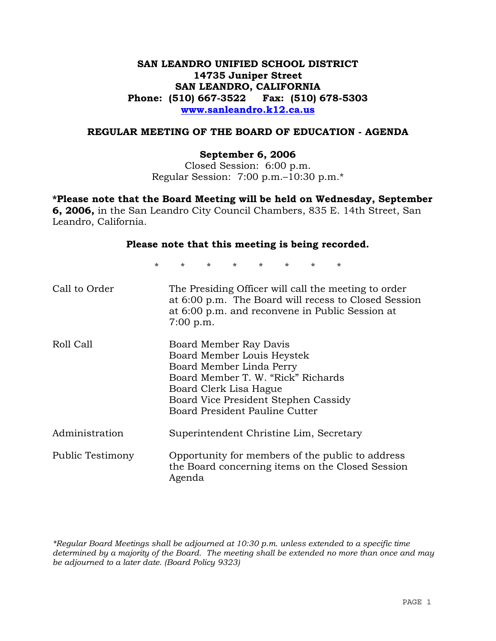# **SAN LEANDRO UNIFIED SCHOOL DISTRICT 14735 Juniper Street SAN LEANDRO, CALIFORNIA Phone: (510) 667-3522 Fax: (510) 678-5303 www.sanleandro.k12.ca.us**

## **REGULAR MEETING OF THE BOARD OF EDUCATION - AGENDA**

## **September 6, 2006**

Closed Session: 6:00 p.m. Regular Session: 7:00 p.m.–10:30 p.m.\*

**\*Please note that the Board Meeting will be held on Wednesday, September 6, 2006,** in the San Leandro City Council Chambers, 835 E. 14th Street, San Leandro, California.

## **Please note that this meeting is being recorded.**

\* \* \* \* \* \* \* \*

| Call to Order    | The Presiding Officer will call the meeting to order<br>at 6:00 p.m. The Board will recess to Closed Session<br>at 6:00 p.m. and reconvene in Public Session at<br>7:00 p.m.                                               |
|------------------|----------------------------------------------------------------------------------------------------------------------------------------------------------------------------------------------------------------------------|
| Roll Call        | Board Member Ray Davis<br>Board Member Louis Heystek<br>Board Member Linda Perry<br>Board Member T. W. "Rick" Richards<br>Board Clerk Lisa Hague<br>Board Vice President Stephen Cassidy<br>Board President Pauline Cutter |
| Administration   | Superintendent Christine Lim, Secretary                                                                                                                                                                                    |
| Public Testimony | Opportunity for members of the public to address<br>the Board concerning items on the Closed Session<br>Agenda                                                                                                             |

*\*Regular Board Meetings shall be adjourned at 10:30 p.m. unless extended to a specific time determined by a majority of the Board. The meeting shall be extended no more than once and may be adjourned to a later date. (Board Policy 9323)*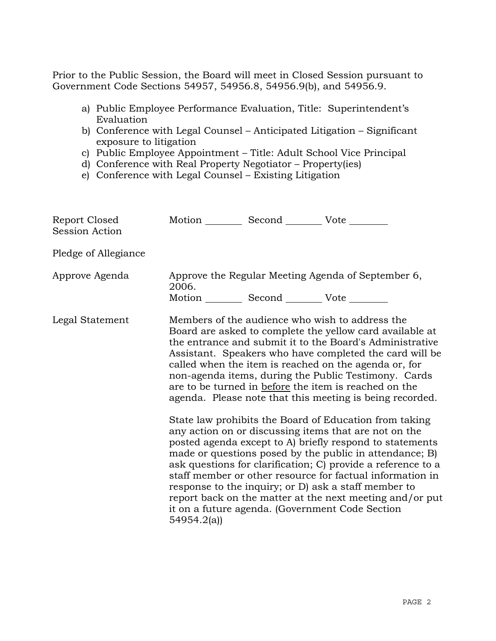Prior to the Public Session, the Board will meet in Closed Session pursuant to Government Code Sections 54957, 54956.8, 54956.9(b), and 54956.9.

- a) Public Employee Performance Evaluation, Title: Superintendent's Evaluation
- b) Conference with Legal Counsel Anticipated Litigation Significant exposure to litigation
- c) Public Employee Appointment Title: Adult School Vice Principal
- d) Conference with Real Property Negotiator Property(ies)
- e) Conference with Legal Counsel Existing Litigation

| Report Closed<br><b>Session Action</b> | Motion __________ Second __________ Vote ________              |                                                                                                                                                                                                                                                                                                                                                                                                                                                                                                                                                                                                                                                                                                                                                                                                                                                                                                                                                                                                                        |
|----------------------------------------|----------------------------------------------------------------|------------------------------------------------------------------------------------------------------------------------------------------------------------------------------------------------------------------------------------------------------------------------------------------------------------------------------------------------------------------------------------------------------------------------------------------------------------------------------------------------------------------------------------------------------------------------------------------------------------------------------------------------------------------------------------------------------------------------------------------------------------------------------------------------------------------------------------------------------------------------------------------------------------------------------------------------------------------------------------------------------------------------|
| Pledge of Allegiance                   |                                                                |                                                                                                                                                                                                                                                                                                                                                                                                                                                                                                                                                                                                                                                                                                                                                                                                                                                                                                                                                                                                                        |
| Approve Agenda                         | 2006.<br>Motion ___________ Second ____________ Vote _________ | Approve the Regular Meeting Agenda of September 6,                                                                                                                                                                                                                                                                                                                                                                                                                                                                                                                                                                                                                                                                                                                                                                                                                                                                                                                                                                     |
| Legal Statement                        | 54954.2(a)                                                     | Members of the audience who wish to address the<br>Board are asked to complete the yellow card available at<br>the entrance and submit it to the Board's Administrative<br>Assistant. Speakers who have completed the card will be<br>called when the item is reached on the agenda or, for<br>non-agenda items, during the Public Testimony. Cards<br>are to be turned in before the item is reached on the<br>agenda. Please note that this meeting is being recorded.<br>State law prohibits the Board of Education from taking<br>any action on or discussing items that are not on the<br>posted agenda except to A) briefly respond to statements<br>made or questions posed by the public in attendance; B)<br>ask questions for clarification; C) provide a reference to a<br>staff member or other resource for factual information in<br>response to the inquiry; or D) ask a staff member to<br>report back on the matter at the next meeting and/or put<br>it on a future agenda. (Government Code Section |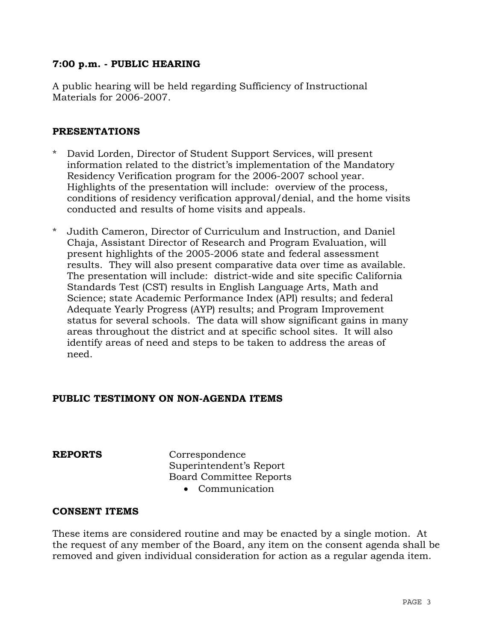# **7:00 p.m. - PUBLIC HEARING**

A public hearing will be held regarding Sufficiency of Instructional Materials for 2006-2007.

## **PRESENTATIONS**

- David Lorden, Director of Student Support Services, will present information related to the district's implementation of the Mandatory Residency Verification program for the 2006-2007 school year. Highlights of the presentation will include: overview of the process, conditions of residency verification approval/denial, and the home visits conducted and results of home visits and appeals.
- Judith Cameron, Director of Curriculum and Instruction, and Daniel Chaja, Assistant Director of Research and Program Evaluation, will present highlights of the 2005-2006 state and federal assessment results. They will also present comparative data over time as available. The presentation will include: district-wide and site specific California Standards Test (CST) results in English Language Arts, Math and Science; state Academic Performance Index (API) results; and federal Adequate Yearly Progress (AYP) results; and Program Improvement status for several schools. The data will show significant gains in many areas throughout the district and at specific school sites. It will also identify areas of need and steps to be taken to address the areas of need.

# **PUBLIC TESTIMONY ON NON-AGENDA ITEMS**

**REPORTS** Correspondence Superintendent's Report Board Committee Reports

• Communication

## **CONSENT ITEMS**

These items are considered routine and may be enacted by a single motion. At the request of any member of the Board, any item on the consent agenda shall be removed and given individual consideration for action as a regular agenda item.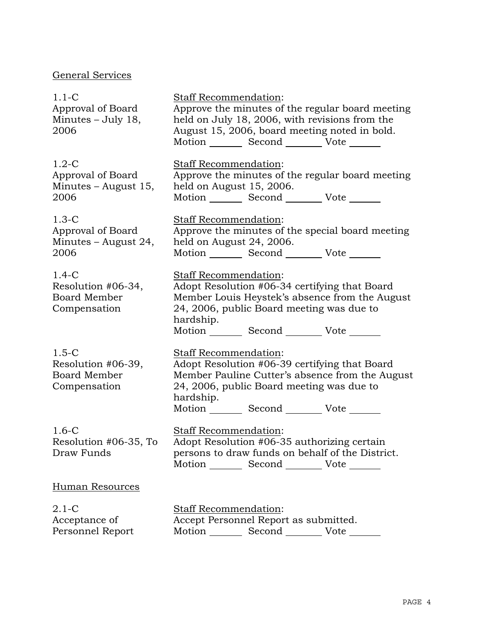# General Services

| $1.1-C$<br>Approval of Board<br>Minutes - July 18,<br>2006           | Staff Recommendation:<br>Approve the minutes of the regular board meeting<br>held on July 18, 2006, with revisions from the<br>August 15, 2006, board meeting noted in bold.<br>Motion _________ Second __________ Vote _______               |
|----------------------------------------------------------------------|-----------------------------------------------------------------------------------------------------------------------------------------------------------------------------------------------------------------------------------------------|
| $1.2-C$<br>Approval of Board<br>Minutes - August 15,<br>2006         | <b>Staff Recommendation:</b><br>Approve the minutes of the regular board meeting<br>held on August 15, 2006.<br>Motion _________ Second __________ Vote _______                                                                               |
| $1.3-C$<br>Approval of Board<br>Minutes – August 24,<br>2006         | <b>Staff Recommendation:</b><br>Approve the minutes of the special board meeting<br>held on August 24, 2006.<br>Motion _________ Second __________ Vote _______                                                                               |
| $1.4-C$<br>Resolution #06-34,<br><b>Board Member</b><br>Compensation | Staff Recommendation:<br>Adopt Resolution #06-34 certifying that Board<br>Member Louis Heystek's absence from the August<br>24, 2006, public Board meeting was due to<br>hardship.<br>Motion _________ Second __________ Vote _______         |
| $1.5-C$<br>Resolution #06-39,<br>Board Member<br>Compensation        | <b>Staff Recommendation:</b><br>Adopt Resolution #06-39 certifying that Board<br>Member Pauline Cutter's absence from the August<br>24, 2006, public Board meeting was due to<br>hardship.<br>Motion _________ Second __________ Vote _______ |
| $1.6-C$<br>Resolution #06-35, To<br>Draw Funds                       | <b>Staff Recommendation:</b><br>Adopt Resolution #06-35 authorizing certain<br>persons to draw funds on behalf of the District.<br>Motion _________ Second __________ Vote _______                                                            |
| Human Resources                                                      |                                                                                                                                                                                                                                               |
| $2.1 - C$<br>Acceptance of<br>Personnel Report                       | <b>Staff Recommendation:</b><br>Accept Personnel Report as submitted.<br>Motion _________ Second __________ Vote _______                                                                                                                      |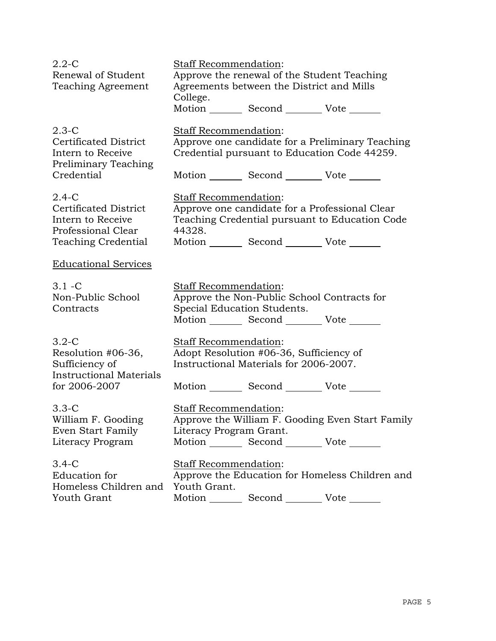| $2.2 - C$                      | <b>Staff Recommendation:</b>                                             |
|--------------------------------|--------------------------------------------------------------------------|
| Renewal of Student             | Approve the renewal of the Student Teaching                              |
| <b>Teaching Agreement</b>      | Agreements between the District and Mills                                |
|                                | College.                                                                 |
|                                | Motion _________ Second _________ Vote _______                           |
| $2.3-C$                        | <b>Staff Recommendation:</b>                                             |
| <b>Certificated District</b>   | Approve one candidate for a Preliminary Teaching                         |
| Intern to Receive              | Credential pursuant to Education Code 44259.                             |
| Preliminary Teaching           |                                                                          |
| Credential                     | Motion _________ Second __________ Vote _______                          |
| $2.4-C$                        | Staff Recommendation:                                                    |
| <b>Certificated District</b>   | Approve one candidate for a Professional Clear                           |
| Intern to Receive              | Teaching Credential pursuant to Education Code                           |
| Professional Clear             | 44328.                                                                   |
| <b>Teaching Credential</b>     | Motion _________ Second __________ Vote _______                          |
|                                |                                                                          |
| <b>Educational Services</b>    |                                                                          |
| $3.1 - C$                      | Staff Recommendation:                                                    |
| Non-Public School              | Approve the Non-Public School Contracts for                              |
| Contracts                      | Special Education Students.                                              |
|                                | Motion _________ Second __________ Vote _______                          |
|                                |                                                                          |
| $3.2-C$                        | Staff Recommendation:                                                    |
| Resolution #06-36,             | Adopt Resolution #06-36, Sufficiency of                                  |
| Sufficiency of                 | Instructional Materials for 2006-2007.                                   |
| <b>Instructional Materials</b> |                                                                          |
| for 2006-2007                  | Motion _________ Second __________ Vote _______                          |
| $3.3-C$                        | Staff Recommendation:                                                    |
| William F. Gooding             | Approve the William F. Gooding Even Start Family                         |
| Even Start Family              | Literacy Program Grant.                                                  |
| Literacy Program               | Motion _________ Second __________ Vote _______                          |
|                                |                                                                          |
| $3.4-C$<br>Education for       | Staff Recommendation:<br>Approve the Education for Homeless Children and |
| Homeless Children and          | Youth Grant.                                                             |
| Youth Grant                    | Motion<br>Second Vote                                                    |
|                                |                                                                          |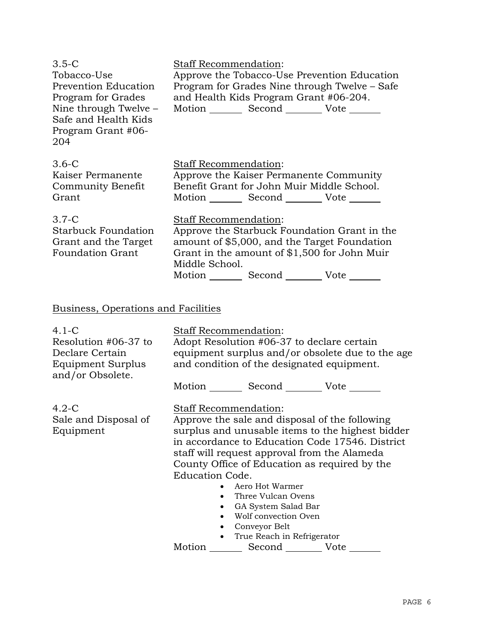| $3.5-C$<br>Tobacco-Use<br>Prevention Education<br>Program for Grades<br>Nine through Twelve -<br>Safe and Health Kids<br>Program Grant #06-<br>204 | <b>Staff Recommendation:</b><br>Approve the Tobacco-Use Prevention Education<br>Program for Grades Nine through Twelve – Safe<br>and Health Kids Program Grant #06-204.<br>Motion _________ Second __________ Vote _______                       |
|----------------------------------------------------------------------------------------------------------------------------------------------------|--------------------------------------------------------------------------------------------------------------------------------------------------------------------------------------------------------------------------------------------------|
| $3.6-C$<br>Kaiser Permanente<br>Community Benefit<br>Grant                                                                                         | Staff Recommendation:<br>Approve the Kaiser Permanente Community<br>Benefit Grant for John Muir Middle School.<br>Motion _________ Second __________ Vote _______                                                                                |
| $3.7-C$<br><b>Starbuck Foundation</b><br>Grant and the Target<br><b>Foundation Grant</b>                                                           | <b>Staff Recommendation:</b><br>Approve the Starbuck Foundation Grant in the<br>amount of \$5,000, and the Target Foundation<br>Grant in the amount of \$1,500 for John Muir<br>Middle School.<br>Motion _________ Second _________ Vote _______ |
| Business, Operations and Facilities                                                                                                                |                                                                                                                                                                                                                                                  |
| $4.1-C$<br>Resolution #06-37 to<br>Declare Certain<br>Equipment Surplus<br>and/or Obsolete.                                                        | <b>Staff Recommendation:</b><br>Adopt Resolution #06-37 to declare certain<br>equipment surplus and/or obsolete due to the age<br>and condition of the designated equipment.<br>Motion _________ Second _________ Vote _______                   |
| $\Lambda$ $\Omega$ $\Omega$                                                                                                                        | $O_{\text{tot}}$ $\Gamma$ December of details $\Gamma$                                                                                                                                                                                           |

## 4.2-C Sale and Disposal of Equipment

Staff Recommendation: Approve the sale and disposal of the following surplus and unusable items to the highest bidder in accordance to Education Code 17546. District staff will request approval from the Alameda County Office of Education as required by the Education Code.

- Aero Hot Warmer
- Three Vulcan Ovens
- GA System Salad Bar
- Wolf convection Oven
- Conveyor Belt
- True Reach in Refrigerator

Motion Second Vote \_\_\_\_\_\_